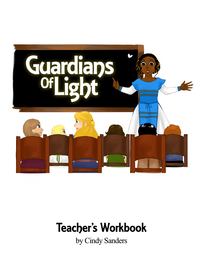

# **Teacher's Workbook**

by Cindy Sanders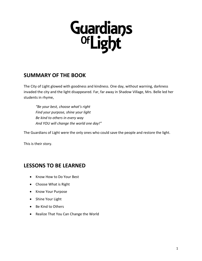

## **SUMMARY OF THE BOOK**

The City of Light glowed with goodness and kindness. One day, without warning, darkness invaded the city and the light disappeared. Far, far away in Shadow Village, Mrs. Belle led her students in rhyme,

*"Be your best, choose what's right Find your purpose, shine your light Be kind to others in every way And YOU will change the world one day!"*

The Guardians of Light were the only ones who could save the people and restore the light.

This is their story.

## **LESSONS TO BE LEARNED**

- Know How to Do Your Best
- Choose What is Right
- Know Your Purpose
- Shine Your Light
- Be Kind to Others
- Realize That You Can Change the World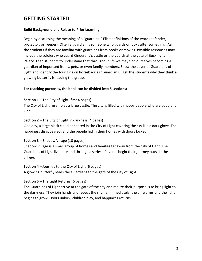# **GETTING STARTED**

#### **Build Background and Relate to Prior Learning**

Begin by discussing the meaning of a "guardian." Elicit definitions of the word (defender, protector, or keeper). Often a guardian is someone who guards or looks after something. Ask the students if they are familiar with guardians from books or movies. Possible responses may include the soldiers who guard Cinderella's castle or the guards at the gate of Buckingham Palace. Lead students to understand that throughout life we may find ourselves becoming a guardian of important items, pets, or even family members. Show the cover of Guardians of Light and identify the four girls on horseback as "Guardians." Ask the students why they think a glowing butterfly is leading the group.

#### **For teaching purposes, the book can be divided into 5 sections:**

#### **Section 1** – The City of Light (first 4 pages)

The City of Light resembles a large castle. The city is filled with happy people who are good and kind.

#### **Section 2** – The City of Light in darkness (4 pages)

One day, a large black cloud appeared in the City of Light covering the sky like a dark glove. The happiness disappeared, and the people hid in their homes with doors locked.

#### **Section 3** – Shadow Village (10 pages)

Shadow Village is a small group of homes and families far away from the City of Light. The Guardians of Light live here and through a series of events begin their journey outside the village.

#### **Section 4** – Journey to the City of Light (6 pages)

A glowing butterfly leads the Guardians to the gate of the City of Light.

#### **Section 5** – The Light Returns (6 pages)

The Guardians of Light arrive at the gate of the city and realize their purpose is to bring light to the darkness. They join hands and repeat the rhyme. Immediately, the air warms and the light begins to grow. Doors unlock, children play, and happiness returns.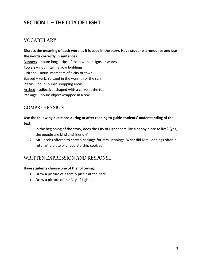# **SECTION 1 – THE CITY OF LIGHT**

## VOCABULARY

**Discuss the meaning of each word as it is used in the story. Have students pronounce and use the words correctly in sentences.** 

Banners – noun: long strips of cloth with designs or words

Towers – noun: tall narrow buildings

Citizens – noun: members of a city or town

Basked - verb: relaxed in the warmth of the sun

Plazas – noun: public shopping areas

Arched – adjective: shaped with a curve at the top

Package – noun: object wrapped in a box

## COMPREHENSION

**Use the following questions during or after reading to guide students' understanding of the text.** 

- 1. In the beginning of the story, does the City of Light seem like a happy place to live? (yes, the people are kind and friendly)
- 2. Mr. Jacobs offered to carry a package for Mrs. Jennings. What did Mrs. Jennings offer in return? (a plate of chocolate chip cookies)

## WRITTEN EXPRESSION AND RESPONSE

#### **Have students choose one of the following:**

- Draw a picture of a family picnic at the park.
- Draw a picture of the City of Lights.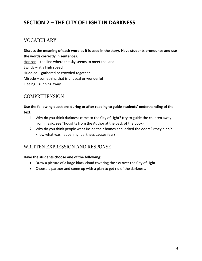# **SECTION 2 – THE CITY OF LIGHT IN DARKNESS**

## VOCABULARY

**Discuss the meaning of each word as it is used in the story. Have students pronounce and use the words correctly in sentences.**  Horizon – the line where the sky seems to meet the land Swiftly – at a high speed Huddled – gathered or crowded together Miracle – something that is unusual or wonderful Fleeing – running away

## COMPREHENSION

#### **Use the following questions during or after reading to guide students' understanding of the text.**

- 1. Why do you think darkness came to the City of Light? (try to guide the children away from magic; see Thoughts from the Author at the back of the book).
- 2. Why do you think people went inside their homes and locked the doors? (they didn't know what was happening, darkness causes fear)

## WRITTEN EXPRESSION AND RESPONSE

#### **Have the students choose one of the following:**

- Draw a picture of a large black cloud covering the sky over the City of Light.
- Choose a partner and come up with a plan to get rid of the darkness.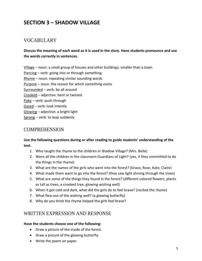# **SECTION 3 – SHADOW VILLAGE**

## VOCABULARY

## **Discuss the meaning of each word as it is used in the story. Have students pronounce and use the words correctly in sentences.**

Village – noun: a small group of houses and other buildings; smaller than a town Piercing – verb: going into or through something Rhyme – noun: repeating similar sounding words Purpose – noun: the reason for which something exists Surrounded – verb: be all around Crooked – adjective: bent or twisted Poke – verb: push through Gazed – verb: look intently Glowing – adjective: a bright light Sprang – verb: to leap suddenly

## **COMPREHENSION**

#### **Use the following questions during or after reading to guide students' understanding of the text.**

- 1. Who taught the rhyme to the children in Shadow Village? (Mrs. Belle)
- 2. Were all the children in the classroom Guardians of Light? (yes, if they committed to do the things in the rhyme)
- 3. What are the names of the girls who went into the forest? (Grace, Rose, Kate, Claire)
- 4. What made them want to go into the forest? (they saw light shining through the trees)
- 5. What are some of the things they found in the forest? (different colored flowers, plants as tall as trees, a crooked tree, glowing wishing well)
- 6. When it got cold and dark, what did the girls do to feel brave? (recited the rhyme)
- 7. What flew out of the wishing well? (a glowing butterfly)
- 8. Why do you think the rhyme helped the girls feel brave?

## WRITTEN EXPRESSION AND RESPONSE

#### **Have the students choose one of the following:**

- Draw a picture of the inside of the forest.
- Draw a picture of the glowing butterfly.
- Write the poem on paper.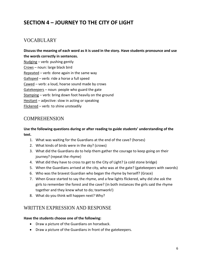# **SECTION 4 – JOURNEY TO THE CITY OF LIGHT**

## VOCABULARY

**Discuss the meaning of each word as it is used in the story. Have students pronounce and use the words correctly in sentences.**  Nudging – verb: pushing gently Crows – noun: large black bird Repeated – verb: done again in the same way Galloped – verb: ride a horse a full speed Cawed – verb: a loud, hoarse sound made by crows Gatekeepers – noun: people who guard the gate Stamping – verb: bring down foot heavily on the ground Hesitant – adjective: slow in acting or speaking Flickered – verb: to shine unsteadily

## **COMPREHENSION**

### **Use the following questions during or after reading to guide students' understanding of the text.**

- 1. What was waiting for the Guardians at the end of the cave? (horses)
- 2. What kinds of birds were in the sky? (crows)
- 3. What did the Guardians do to help them gather the courage to keep going on their journey? (repeat the rhyme)
- 4. What did they have to cross to get to the City of Light? (a cold stone bridge)
- 5. When the Guardians arrived at the city, who was at the gate? (gatekeepers with swords)
- 6. Who was the bravest Guardian who began the rhyme by herself? (Grace)
- 7. When Grace started to say the rhyme, and a few lights flickered, why did she ask the girls to remember the forest and the cave? (in both instances the girls said the rhyme together and they knew what to do; teamwork!)
- 8. What do you think will happen next? Why?

## WRITTEN EXPRESSION AND RESPONSE

#### **Have the students choose one of the following:**

- Draw a picture of the Guardians on horseback.
- Draw a picture of the Guardians in front of the gatekeepers.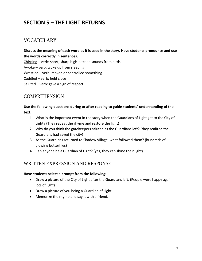# **SECTION 5 – THE LIGHT RETURNS**

## VOCABULARY

**Discuss the meaning of each word as it is used in the story. Have students pronounce and use the words correctly in sentences.**  Chirping – verb: short, sharp high-pitched sounds from birds Awoke – verb: woke up from sleeping Wrestled – verb: moved or controlled something Cuddled – verb: held close Saluted – verb: gave a sign of respect

## COMPREHENSION

### **Use the following questions during or after reading to guide students' understanding of the text.**

- 1. What is the important event in the story when the Guardians of Light get to the City of Light? (They repeat the rhyme and restore the light)
- 2. Why do you think the gatekeepers saluted as the Guardians left? (they realized the Guardians had saved the city)
- 3. As the Guardians returned to Shadow Village, what followed them? (hundreds of glowing butterflies)
- 4. Can anyone be a Guardian of Light? (yes, they can shine their light)

## WRITTEN EXPRESSION AND RESPONSE

#### **Have students select a prompt from the following:**

- Draw a picture of the City of Light after the Guardians left. (People were happy again, lots of light)
- Draw a picture of you being a Guardian of Light.
- Memorize the rhyme and say it with a friend.